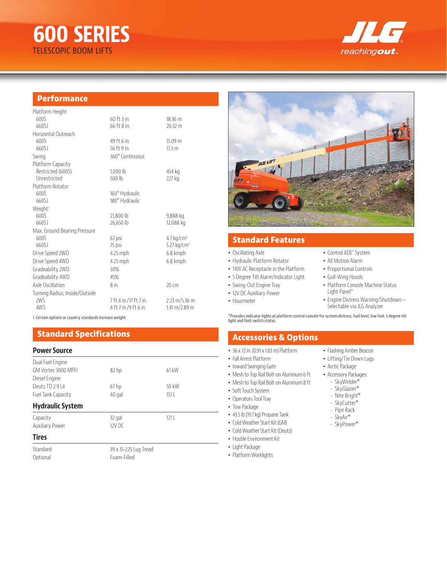# **600 SERIES** TELESCOPIC BOOM LIFTS



## **Performance**

| Platform Height                |                        |                                   |
|--------------------------------|------------------------|-----------------------------------|
| 6005                           | $60$ ft $3$ in.        | 18.36 m                           |
| 66051                          | 66 ft 8 in.            | $20.32 \text{ m}$                 |
| Horizontal Outreach            |                        |                                   |
| 6005                           | 49 ft 6 in.            | 15.09 m                           |
| 66051                          | 56 ft 9 in.            | 17.3 m                            |
| Swing                          | 360° Continuous        |                                   |
| Platform Capacity              |                        |                                   |
| Restricted (600S)              | 1,000 lb               | 454 kg                            |
| Unrestricted                   | 500 lb                 | 227 kg                            |
| Platform Rotator               |                        |                                   |
| 6005                           | 160° Hydraulic         |                                   |
| 660SJ                          | 180° Hydraulic         |                                   |
| Weight <sup>1</sup>            |                        |                                   |
| 6005                           | 21,800 lb              | 9,888 kg                          |
| 660SJ                          | 26,650 lb              | 12,088 kg                         |
| Max. Ground Bearing Pressure   |                        |                                   |
| 6005                           | 67 psi                 | 4.7 $kg/cm2$                      |
| 660SJ                          | 75 psi                 | 5.27 $kg/cm2$                     |
| Drive Speed 2WD                | 4.25 mph               | 6.8 kmph                          |
| Drive Speed 4WD                | 4.25 mph               | 6.8 kmph                          |
| Gradeability 2WD               | 30%                    |                                   |
| Gradeability 4WD               | 45%                    |                                   |
| Axle Oscillation               | 8 in.                  | $20 \text{ cm}$                   |
| Turning Radius, Inside/Outside |                        |                                   |
| 2WS                            | 7 ft 4 in /17 ft 7 in. | $2.23 \text{ m} / 5.36 \text{ m}$ |
| 4WS                            | 4 ft 7 in /9 ft 6 in   | $1.41 \text{ m} / 2.89 \text{ m}$ |
|                                |                        |                                   |

1. Certain options or country standards increase weight

# **Standard Specifications**

### **Power Source**

| Dual Fuel Engine                     |                  |       |  |
|--------------------------------------|------------------|-------|--|
| GM Vortec 3000 MPFL<br>Diesel Engine | 82 <sub>hp</sub> | 61 kW |  |
| Deutz TD 2.914                       | 67 <sub>hp</sub> | 50 kW |  |
| Fuel Tank Capacity                   | 40 gal           | 1511  |  |
| <b>Hydraulic System</b>              |                  |       |  |
| Capacity                             | 32 gal           | 1211  |  |
| <b>Auxiliary Power</b>               | $12V$ DC         |       |  |
| <b>Tires</b>                         |                  |       |  |

Standard 39 x 15-225 Lug Tread<br>
20 Dotional Cotional 50 December 2021 Foam-Filled



# **Standard Features**

#### • Oscillating Axle

- Hydraulic Platform Rotator
- 110V AC Receptacle in the Platform
- 5 Degree Tilt Alarm/Indicator Light
- Swing-Out Engine Tray
- 12V DC Auxiliary Power
- Hourmeter
- Control ADE® System
- All Motion Alarm
- Proportional Controls
- Gull-Wing Hoods
	- Platform Console Machine Status Light Panel\*
- Engine Distress Warning/Shutdown— Selectable via JLG Analyzer

\*Provides indicator lights at platform control console for system distress, fuel level, low fuel, 5 degree tilt light and foot switch status.

# **Accessories & Options**

- 36 x 72 in. (0.91 x 1.83 m) Platform
- Fall Arrest Platform
- Inward Swinging Gate
- Mesh to Top Rail Bolt-on Aluminum 6 ft
- Mesh to Top Rail Bolt-on Aluminum 8 ft
- Soft Touch System
- Operators Tool Tray
- Tow Package
- 43.5 lb (19.7 kg) Propane Tank
- Cold Weather Start Kit (GM)
- Cold Weather Start Kit (Deutz)
- Hostile Environment Kit
- Light Package
- Platform Worklights
- Flashing Amber Beacon • Lifting/Tie Down Lugs
- Arctic Package
- Accessory Packages:
- SkyWelder®
- SkyGlazier®
- Nite Bright®
- SkyCutter®
- Pipe Rack
- SkyAir®
- SkyPower®